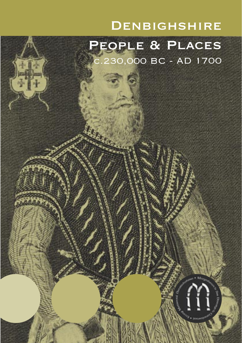## **DENBIGHSHIRE**

# People & Places c.230,000 BC - AD 1700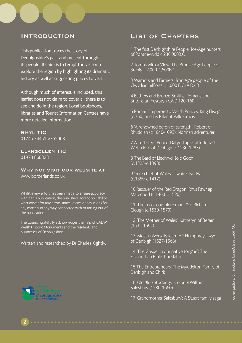### **INTRODUCTION**

This publication traces the story of Denbighshire's past and present through its people. Its aim is to tempt the visitor to explore the region by highlighting its dramatic history as well as suggesting places to visit.

Although much of interest is included, this leaflet does not claim to cover all there is to see and do in the region. Local bookshops, libraries and Tourist Information Centres have more detailed information.

Rhyl TIC 01745 344515/355068

### Llangollen TIC 01978 860828

WHY NOT VISIT OUR WEBSITE AT www.borderlands.co.uk

Whilst every effort has been made to ensure accuracy within this publication, the publishers accept no liability whatsoever for any errors, inaccuracies or omissions for any matters in any way connected with or arising out of the publication.

The Council gratefully acknowledges the help of CADW: Welsh Historic Monuments and the residents and businesses of Denbighshire.

#### Written and researched by Dr Charles Kightly.

### List of Chapters

1 The first Denbighshire People: Ice-Age hunters of Pontnewydd c.230,000B.C.

2 Tombs with a View: The Bronze Age People of Brenig c.2,000-1,500B.C.

3 Warriors and Farmers: Iron Age people of the Clwydian hillforts c.1,000 B.C.-A.D.43

4 Bathers and Bronze-Smiths: Romans and Britons at Prestatyn c.A.D.120-160

5 Roman Emperors to Welsh Princes: King Eliseg (c.750) and his Pillar at Valle Crucis

6 'A renowned baron of strength': Robert of Rhuddlan (c.1040-1093), Norman adventurer

7 A Turbulent Prince: Dafydd ap Gruffudd, last Welsh lord of Denbigh (c.1236-1283)

8 The Bard of Llechryd: Iolo Goch (c.1325-c.1398)

9 'Sole chief of Wales': Owain Glyndŵr (c.1359-c.1417)

10 Rescuer of the Red Dragon: Rhys Fawr ap Maredudd (c.1460-c.1520)

11 'The most complete man': 'Sir' Richard Clough (c.1530-1570)

12 'The Mother of Wales': Katheryn of Berain (1535-1591)

13 'Most universally learned': Humphrey Llwyd of Denbigh (1527-1568)

14 'The Gospel in our native tongue': The Elizabethan Bible Translators

15 The Entrepreneurs: The Myddelton Family of Denbigh and Chirk

16 'Old Blue Stockings': Colonel William Salesbury (1580-1660)

17 'Grandmother Salesbury': A Stuart family saga

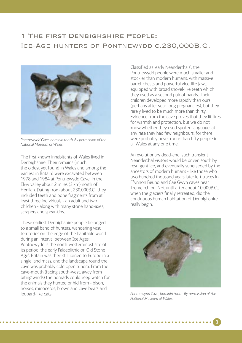### 1 The first Denbighshire People: Ice-Age hunters of Pontnewydd c.230,000B.C.



*Pontnewydd Cave, hominid tooth. By permission of the National Museum of Wales.*

The first known inhabitants of Wales lived in Denbighshire. Their remains (much the oldest yet found in Wales and among the earliest in Britain) were excavated between 1978 and 1984 at Pontnewydd Cave, in the Elwy valley about 2 miles (3 km) north of Henllan. Dating from about 230,000B.C., they included teeth and bone fragments from at least three individuals - an adult and two children - along with many stone hand-axes, scrapers and spear-tips.

These earliest Denbighshire people belonged to a small band of hunters, wandering vast territories on the edge of the habitable world during an interval between Ice Ages: Pontnewydd is the north-westernmost site of its period, the early Palaeolithic or 'Old Stone Age'. Britain was then still joined to Europe in a single land mass, and the landscape round the cave was probably cold open tundra. From the cave-mouth (facing south-west, away from biting winds) the nomads could keep watch for the animals they hunted or hid from - bison, horses, rhinoceros, brown and cave bears and leopard-like cats.

Classified as 'early Neanderthals', the Pontnewydd people were much smaller and stockier than modern humans, with massive barrel-chests and powerful vice-like jaws, equipped with broad shovel-like teeth which they used as a second pair of hands. Their children developed more rapidly than ours (perhaps after year-long pregnancies), but they rarely lived to be much more than thirty. Evidence from the cave proves that they lit fires for warmth and protection, but we do not know whether they used spoken language: at any rate they had few neighbours, for there were probably never more than fifty people in all Wales at any one time.

An evolutionary dead-end, such transient Neanderthal visitors would be driven south by resurgent ice, and eventually superseded by the ancestors of modern humans - like those who two hundred thousand years later left traces in Ffynnon Beuno and Cae Gwyn caves near Tremeirchion. Not until after about 10,000B.C., when the glaciers finally retreated, did the continuous human habitation of Denbighshire really begin.



*Pontnewydd Cave, hominid tooth. By permission of the National Museum of Wales.*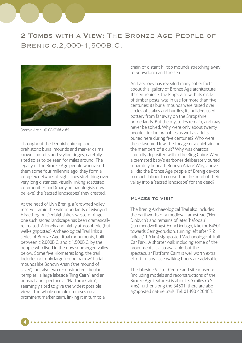## 2 Tombs with a View: The Bronze Age People of Brenig c.2,000-1,500B.C.



Boncyn Arian. © CPAT 86-c-65.

Throughout the Denbighshire uplands, prehistoric burial mounds and marker cairns crown summits and skyline ridges, carefully sited so as to be seen for miles around. The legacy of the Bronze Age people who raised them some four millennia ago, they form a complex network of sight-lines stretching over very long distances, visually linking scattered communities and (many archaeologists now believe) the 'sacred landscapes' they created.

At the head of Llyn Brenig, a 'drowned valley' reservoir amid the wild moorlands of Mynydd Hiraethog on Denbighshire's western fringe, one such sacred landscape has been dramatically recreated. A lonely and highly atmospheric (but well-signposted) Archaeological Trail links a series of Bronze Age ritual monuments, built between c.2,000B.C. and c.1,500B.C. by the people who lived in the now submerged valley below. Some five kilometres long, the trail includes not only large 'round barrow' burial mounds like Boncyn Arian ('the mound of silver'), but also two reconstructed circular 'temples', a large lakeside 'Ring Cairn', and an unusual and spectacular 'Platform Cairn', seemingly sited to give the widest possible views. The whole complex focuses on a prominent marker cairn, linking it in turn to a

4

chain of distant hilltop mounds stretching away to Snowdonia and the sea.

Archaeology has revealed many sober facts about this 'gallery of Bronze Age architecture'. Its centrepiece, the Ring Cairn with its circle of timber posts, was in use for more than five centuries; its burial mounds were raised over circles of stakes and hurdles; its builders used pottery from far away on the Shropshire borderlands. But the mysteries remain, and may never be solved. Why were only about twenty people - including babies as well as adults buried here during five centuries? Who were these favoured few: the lineage of a chieftain, or the members of a cult? Why was charcoal carefully deposited within the Ring Cairn? Were a cremated baby's earbones deliberately buried separately beneath Boncyn Arian? Why, above all, did the Bronze Age people of Brenig devote so much labour to converting the head of their valley into a 'sacred landscape' for the dead?

### Places to visit

The Brenig Archaeological Trail also includes the earthworks of a medieval farmstead ('Hen Dinbych') and remains of later 'hafodau' (summer dwellings). From Denbigh, take the B4501 towards Cerrigydrudion, turning left after 7.2 miles (11.6 km) signposted 'Archaeological Trail Car Park'. A shorter walk including some of the monuments is also available: but the spectacular Platform Cairn is well worth extra effort. In any case walking boots are advisable.

The lakeside Visitor Centre and site museum (including models and reconstructions of the Bronze Age features) is about 3.5 miles (5.5 kms) further along the B4501: there are also signposted nature trails. Tel: 01490 420463.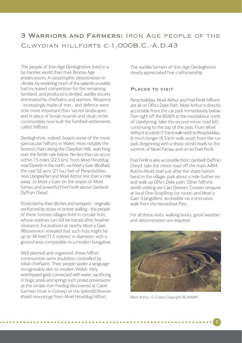### 3 Warriors and Farmers: Iron Age people of the Clwydian hillforts c.1,000B.C.-A.D.43

The people of Iron Age Denbighshire lived in a far harsher world than their Bronze Age predecessors. A catastrophic deterioration in climate, by rendering much of the uplands unusable, had increased competition for the remaining farmland, and produced a divided, warlike society dominated by chieftains and warriors. Weapons - increasingly made of iron - and defence were now more important than 'sacred landscapes', and in place of burial mounds and ritual circles communities now built the fortified settlements called 'hillforts'.

Denbighshire, indeed, boasts some of the most spectacular hillforts in Wales: most notably the famous chain along the Clwydian Hills, watching over the fertile vale below. No less than six occur within 15 miles (22.5 km), from Moel Hiraddug near Dyserth in the north, via Moel y Gaer (Bodfari); the vast 52 acre (21 ha.) fort of Penycloddiau near Llangwyfan and Moel Arthur less than a mile away; to Moel y Gaer on the slopes of Moel Famau and powerful Foel Fenlli above Llanbedr Dyffryn Clwyd.

Protected by their ditches and ramparts - originally reinforced by stone or timber walling - the people of these fortress villages lived in circular huts, whose outlines can still be traced after heather clearance. Excavations at nearby Moel y Gaer (Rhosesmor) revealed that such huts might be up to 38 feet(11.5 metres) in diameter, with a ground area comparable to a modern bungalow.

Well planned and organized, these hillfort communities were doubtless controlled by tribal chieftains. Their people spoke a language recognizably akin to modern Welsh: they worshipped gods connected with water, sacrificing in bogs, pools and springs such prized possessions as the ornate iron firedog discovered at Capel Garmon (now in Conwy) or the splendid bronze shield mountings from Moel Hiraddug hillfort.

The warlike farmers of Iron Age Denbighshire clearly appreciated fine craftsmanship.

#### Places to visit

Penycloddiau, Moel Arthur and Foel Fenlli hillforts are all on Offa's Dyke Path. Moel Arthur is directly accessible from the car park immediately below. Turn right off the B5429 at the roundabout north of Llandyrnog; take the second minor road left, continuing to the top of the pass. From Moel Arthur it is a short (1.5 km) walk north to Penycloddiau. A much longer (6.5 km) walk south from the car park (beginning with a sharp climb) leads to the summit of Moel Famau and on to Foel Fenlli.

Foel Fenlli is also accessible from Llanbedr Dyffryn Clwyd: take the minor road off the main A494 Ruthin-Mold road just after the sharp hairpin bend in the village, park about a mile further on, and walk up Offa's Dyke path. Other hillforts worth visiting are Caer Drewyn, Corwen (enquire at local One-StopShop for route) and Moel y Gaer (Llangollen), accessible via a strenuous walk from the Horseshoe Pass.

For all these visits, walking boots, good weather and determination are required.



*Moel Arthur. © Crown Copyright RCAHMW.*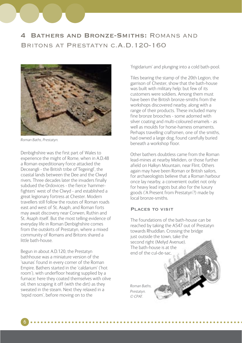



*Roman Baths, Prestatyn.*

Denbighshire was the first part of Wales to experience the might of Rome, when in A.D.48 a Roman expeditionary force attacked the Deceangli - the British tribe of'Tegeingl', the coastal lands between the Dee and the Clwyd rivers. Three decades later the invaders finally subdued the Ordovices - the fierce 'hammerfighters' west of the Clwyd - and established a great legionary fortress at Chester. Modern travellers still follow the routes of Roman roads east and west of St. Asaph, and Roman forts may await discovery near Corwen, Ruthin and St. Asaph itself. But the most telling evidence of everyday life in Roman Denbighshire comes from the outskirts of Prestatyn, where a mixed community of Romans and Britons shared a little bath-house.

Begun in about A.D.120, the Prestatyn bathhouse was a miniature version of the 'saunas' found in every corner of the Roman Empire. Bathers started in the 'caldarium' ('hot room'), with underfloor heating supplied by a furnace: here they coated themselves with olive oil, then scraping it off (with the dirt) as they sweated in the steam. Next they relaxed in a 'tepid room', before moving on to the

6

'frigidarium' and plunging into a cold bath-pool.

Tiles bearing the stamp of the 20th Legion, the garrison of Chester, show that the bath-house was built with military help: but few of its customers were soldiers. Among them must have been the British bronze-smiths from the workshops discovered nearby, along with a range of their products. These included many fine bronze brooches - some adorned with silver coating and multi-coloured enamels - as well as moulds for horse-harness ornaments. Perhaps travelling craftsmen, one of the smiths had owned a large dog, found carefully buried beneath a workshop floor.

Other bathers doubtless came from the Roman lead-mines at nearby Meliden, or those further afield on Halkyn Mountain, near Flint. Others again may have been Roman or British sailors, for archaeologists believe that a Roman harbour once lay nearby, a convenient outlet not only for heavy lead ingots but also for the luxury goods ('A Present from Prestatyn'?) made by local bronze-smiths.

#### Places to visit

The foundations of the bath-house can be reached by taking the A547 out of Prestatyn towards Rhuddlan. Crossing the bridge just outside the town, take the second right (Melyd Avenue). The bath-house is at the end of the cul-de-sac.

*Roman Baths, Prestatyn. © CPAT.*

. . . . . . . . . .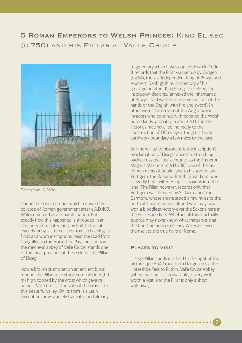## 5 Roman Emperors to Welsh Princes: King Eliseg (c.750) and his Pillar at Valle Crucis



*Eliseg's Pillar. © CADW.*

During the four centuries which followed the collapse of Roman government after c.A.D.400, Wales emerged as a separate nation. But exactly how this happened is shrouded in an obscurity illuminated only by half-historical legends, or by scattered clues from archaeological finds and worn inscriptions. Near the road from Llangollen to the Horseshoe Pass, not far from the medieval abbey of Valle Crucis, stands one of the most precious of these clues - the Pillar of Eliseg.

Now a broken stump set on an ancient burial mound, the Pillar once stood some 20 feet (6.1 m) high, topped by the cross which gave its name - 'Valle Crucis', 'the vale of the cross' - to this beautiful valley. On its shaft is a Latin inscription, now scarcely traceable and already

fragmentary when it was copied down in 1696. It records that the Pillar was set up by Cyngen (d.854), the last independent King of Powys and southern Denbighshire, in memory of his great-grandfather King Eliseg. This Eliseg, the inscription declares, 'annexed the inheritance of Powys - laid waste for nine years - out of the hands of the English with fire and sword'. In other words, he drove out the Anglo-Saxon invaders who continually threatened the Welsh borderlands, probably in about A.D.750. His victories may have led indirectly to the construction of Offa's Dyke, the great border earthwork boundary a few miles to the east.

Still more vital to historians is the inscription's proclamation of Eliseg's ancestry, stretching back across the 'lost' centuries to the Emperor Magnus Maximus (d.A.D.388), one of the last Roman rulers of Britain, and to his son-in-law Vortigern, the Romano-British 'Great Lord' who allegedly first invited Hengist's Saxons into the land. The Pillar, however, records only that Vortigern was 'blessed by St. Germanus' (or Garmon), whose shrine stood a few miles to the north at Llanarmon-yn-Iâl, and who may have won a bloodless victory over the Saxons here in the Horseshoe Pass. Whether all this is actually true we may never know: what matters is that the Christian princes of early Wales believed themselves the true heirs of Rome.

#### Places to visit

Eliseg's Pillar stands in a field to the right of the picturesque A542 road from Llangollen via the Horseshoe Pass to Ruthin. Valle Crucis Abbey (where parking is also available) is very well worth a visit, and the Pillar is only a short walk away.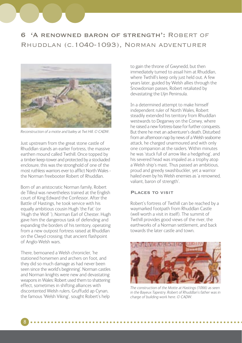## 6 'A renowned baron of strength': Robert of Rhuddlan (c.1040-1093), Norman adventurer



*Reconstruction of a motte and bailey at Twt Hill. © CADW.*

Just upstream from the great stone castle of Rhuddlan stands an earlier fortress, the massive earthen mound called Twthill. Once topped by a timber keep-tower and protected by a stockaded enclosure, this was the stronghold of one of the most ruthless warriors ever to afflict North Wales the Norman freebooter Robert of Rhuddlan.

Born of an aristocratic Norman family, Robert de Tilleul was nevertheless trained at the English court of King Edward the Confessor. After the Battle of Hastings, he took service with his equally ambitious cousin Hugh 'the Fat' (or 'Hugh the Wolf '), Norman Earl of Chester. Hugh gave him the dangerous task of defending and expanding the borders of his territory, operating from a new outpost fortress raised at Rhuddlan on the Clwyd crossing, that ancient flashpoint of Anglo-Welsh wars.

There, bemoaned a Welsh chronicler, 'he stationed horsemen and archers on foot, and they did so much damage as had never been seen since the world's beginning'. Norman castles and Norman knights were new and devastating weapons in Wales: Robert used them to shattering effect, sometimes in shifting alliances with discontented Welsh rulers. Gruffudd ap Cynan, the famous 'Welsh Viking', sought Robert's help

to gain the throne of Gwynedd, but then immediately turned to assail him at Rhuddlan, where Twthill's keep only just held out. A few years later, guided by Welsh allies through the Snowdonian passes, Robert retaliated by devastating the Llŷn Peninsula.

In a determined attempt to make himself independent ruler of North Wales, Robert steadily extended his territory from Rhuddlan westwards to Deganwy on the Conwy, where he raised a new fortress-base for further conquests. But there he met an adventurer's death. Disturbed from an afternoon nap by news of a Welsh seaborne attack, he charged unarmoured and with only one companion at the raiders. Within minutes he was 'stuck full of arrow like a hedgehog', and his severed head was impaled as a trophy atop a Welsh ship's mast. Thus passed an ambitious, proud and greedy swashbuckler, yet a warrior hailed even by his Welsh enemies as 'a renowned, valiant, baron of strength'.

#### Places to visit

Robert's fortress of Twthill can be reached by a waymarked footpath from Rhuddlan Castle (well worth a visit in itself). The summit of Twthill provides good views of the river, the earthworks of a Norman settlement, and back towards the later castle and town.



*The construction of the Motte at Hastings (1066) as seen in the Bayeux Tapestry. Robert of Rhuddlan's father was in charge of building work here. © CADW.*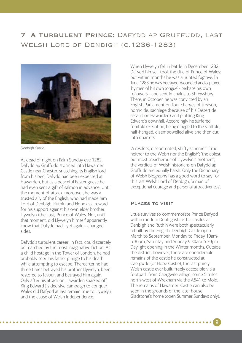## 7 A Turbulent Prince: Dafydd ap Gruffudd, last Welsh Lord of Denbigh (c.1236-1283)



*Denbigh Castle.*

At dead of night on Palm Sunday eve 1282, Dafydd ap Gruffudd stormed into Hawarden Castle near Chester, snatching its English lord from his bed. Dafydd had been expected at Hawarden, but as a peaceful Easter guest: he had even sent a gift of salmon in advance. Until the moment of attack, moreover, he was a trusted ally of the English, who had made him Lord of Denbigh, Ruthin and Hope as a reward for his support against his own elder brother, Llywelyn (the Last) Prince of Wales. Nor, until that moment, did Llywelyn himself apparently know that Dafydd had - yet again - changed sides.

Dafydd's turbulent career, in fact, could scarcely be matched by the most imaginative fiction. As a child hostage in the Tower of London, he had probably seen his father plunge to his death while attempting to escape. Thereafter he had three times betrayed his brother Llywelyn, been restored to favour, and betrayed him again. Only after his attack on Hawarden sparked off King Edward I's decisive campaign to conquer Wales did Dafydd at last remain true to Llywelyn and the cause of Welsh independence.

When Llywelyn fell in battle in December 1282, Dafydd himself took the title of Prince of Wales: but within months he was a hunted fugitive. In June 1283 he was betrayed, wounded and captured 'by men of his own tongue' - perhaps his own followers - and sent in chains to Shrewsbury. There, in October, he was convicted by an English Parliament on four charges of treason, homicide, sacrilege (because of his Eastertide assault on Hawarden) and plotting King Edward's downfall. Accordingly he suffered fourfold execution, being dragged to the scaffold, half-hanged, disembowelled alive and then cut into quarters.

'A restless, discontented, shifty schemer'; 'true neither to the Welsh nor the English'; 'the ablest but most treacherous of Llywelyn's brothers'; the verdicts of Welsh historians on Dafydd ap Gruffudd are equally harsh. Only the Dictionary of Welsh Biography has a good word to say for this last Welsh Lord of Denbigh, 'a man of exceptional courage and personal attractiveness'.

#### Places to visit

Little survives to commemorate Prince Dafydd within modern Denbighshire: his castles at Denbigh and Ruthin were both spectacularly rebuilt by the English. Denbigh Castle open March to September, Monday to Friday 10am-5.30pm, Saturday and Sunday 9.30am-5.30pm. Daylight opening in the Winter months. Outside the district, however, there are considerable remains of the castle he constructed at Caergwrle (or Hope Castle), the last purely Welsh castle ever built: freely accessible via a footpath from Caergwrle village, some 5 miles north-west of Wrexham via the A541 to Mold. The remains of Hawarden Castle can also be seen in the grounds of the later house, Gladstone's home (open Summer Sundays only).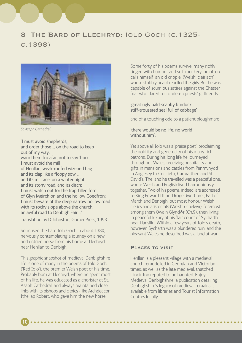### 8 The Bard of Llechryd: Iolo Goch (c.1325 c.1398)



*St Asaph Cathedral.*

'I must avoid shepherds, and order those ... on the road to keep out of my way, warn them fro afar, not to say 'boo' ... I must avoid the mill of Henllan, weak-roofed wizened hag and its clap like a floppy sow ... and its millrace, on a winter night, and its stony road, and its ditch; I must watch out for the trap-filled ford of Glyn Meirchion and the hollow Coedfron; I must beware of the deep narrow hollow road with its rocky slope above the church, an awful road to Denbigh Fair ...'

Translation by D Johnston, Gomer Press, 1993.

So mused the bard Iolo Goch in about 1380, nervously contemplating a journey on a new and untried horse from his home at Llechryd near Henllan to Denbigh.

This graphic snapshot of medieval Denbighshire life is one of many in the poems of Iolo Goch ('Red Iolo'), the premier Welsh poet of his time. Probably born at Llechryd, where he spent most of his life, he was educated as a chorister at St. Asaph Cathedral, and always maintained close links with its bishops and clerics - like Archdeacon Ithel ap Robert, who gave him the new horse.

Some forty of his poems survive, many richly tinged with humour and self-mockery: he often calls himself 'an old cripple' (Welsh: cleiriach), whose stubbly beard repelled the girls. But he was capable of scurrilous satires against the Chester friar who dared to condemn priests' girlfriends:

#### 'great ugly bald-scabby burdock stiff-trousered seal full of cabbage'

and of a touching ode to a patient ploughman:

### 'there would be no life, no world without him'.

Yet above all Iolo was a 'praise poet', proclaiming the nobility and generosity of his many rich patrons. During his long life he journeyed throughout Wales, receiving hospitality and gifts in mansions and castles from Penmynydd in Anglesey to Criccieth, Carmarthen and St. David's. The land he travelled was a peaceful one, where Welsh and English lived harmoniously together. Two of his poems, indeed, are addressed to King Edward III and Roger Mortimer, Earl of March and Denbigh: but most honour Welsh clerics and aristocrats (Welsh: uchelwyr), foremost among them Owain Glyndŵr (Ch.9), then living in peaceful luxury at his 'fair court' of Sycharth near Llansilin. Within a few years of Iolo's death, however, Sycharth was a plundered ruin, and the pleasant Wales he described was a land at war.

### Places to visit

Henllan is a pleasant village with a medieval church remodelled in Georgian and Victorian times, as well as the late medieval, thatched Llindir Inn reputed to be haunted. Enjoy Medieval Denbighshire, a publication detailing Denbighshire's legacy of medieval remains is available from libraries and Tourist Information Centres locally.

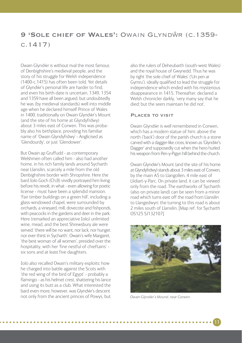### 9 'SOLE CHIEF OF WALES': OWAIN GLYNDŴR (C.1359c.1417)

Owain Glyndŵr is without rival the most famous of Denbighshire's medieval people, and the story of his struggle for Welsh independence (1400-c.1415) has often been told. Yet details of Glyndŵr's personal life are harder to find. and even his birth-date is uncertain. 1349, 1354 and 1359 have all been argued, but undoubtedly he was (by medieval standards) well into middle age when he declared himself Prince of Wales in 1400, traditionally on Owain Glyndŵr's Mount (and the site of his home at Glyndyfrdwy) about 3 miles east of Corwen. This was probably also his birthplace, providing his familiar name of 'Owain Glyndyfrdwy' - Anglicised as 'Glendourdy', or just 'Glendower'.

But Owain ap Gruffudd - as contemporary Welshmen often called him - also had another home, in his rich family lands around Sycharth near Llansilin, scarcely a mile from the old Denbighshire border with Shropshire. Here the bard Iolo Goch (Ch.8) vividly portrayed him living before his revolt, in what - even allowing for poetic license - must have been a splendid mansion. 'Fair timber buildings on a green hill', including a glass-windowed chapel, were surrounded by orchards, a vineyard, mill, dovecote and fishponds, with peacocks in the gardens and deer in the park. Here (remarked an appreciative Iolo) unlimited wine, mead, and the best Shrewsbury ale were served: 'there will be no want, nor lack, nor hunger, nor ever thirst in Sycharth'. Owain's wife Margaret, 'the best woman of all women', presided over the hospitality, with her 'fine nestful of chieftains' six sons and at least five daughters.

Iolo also recalled Owain's military exploits: how he charged into battle against the Scots with 'the red wing of the bird of Egypt' - probably a flamingo - as his helmet crest, shattering his lance and using its butt as a club. What interested the bard even more, however, was Glyndŵr's descent not only from the ancient princes of Powys, but

also the rulers of Deheubarth (south-west Wales) and the royal house of Gwynedd. Thus he was by right 'the sole chief of Wales' ('Un pen ar Gymru'), ideally qualified to lead the struggle for independence which ended with his mysterious disappearance in 1415. Thereafter, declared a Welsh chronicler darkly, 'very many say that he died; but the seers maintain he did not'.

### Places to visit

Owain Glyndŵr is well remembered in Corwen, which has a modern statue of him: above the north ('back') door of the parish church is a stone carved with a dagger-like cross, known as 'Glyndŵr's Dagger' and supposedly cut when the hero hurled his weapon from Pen-y-Pigyn hill behind the church.

Owain Glyndŵr's Mount (and the site of his home at Glyndyfrdwy) stands about 3 miles east of Corwen, by the main A5 to Llangollen, 4 mile east of Llidiart-y-Parc. On private land, it can be viewed only from the road. The earthworks of Sycharth (also on private land) can be seen from a minor road which turns east off the road from Llansilin to Llangedwyn: the turning to this road is about 2 miles south of Llansilin. [Map ref. for Sycharth OS125 SJ132107]



*Owain Glyndwˆr's Mound, near Corwen.*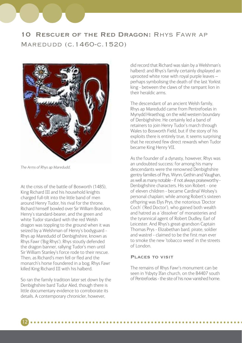## 10 Rescuer of the Red Dragon: Rhys Fawr ap Maredudd (c.1460-c.1520)



*The Arms of Rhys ap Maredudd.*

At the crisis of the battle of Bosworth (1485), King Richard III and his household knights charged full-tilt into the little band of men around Henry Tudor, his rival for the throne. Richard himself bowled over Sir William Brandon, Henry's standard-bearer, and the green and white Tudor standard with the red Welsh dragon was toppling to the ground when it was seized by a Welshman of Henry's bodyguard - Rhys ap Maredudd of Denbighshire, known as Rhys Fawr ('Big Rhys'). Rhys stoutly defended the dragon banner, rallying Tudor's men until Sir William Stanley's force rode to their rescue. Then, as Richard's men fell or fled and the monarch's horse foundered in a bog, Rhys Fawr killed King Richard III with his halberd.

So ran the family tradition later set down by the Denbighshire bard Tudur Aled, though there is little documentary evidence to corroborate its details. A contemporary chronicler, however,

did record that Richard was slain by a Welshman's halberd: and Rhys's family certainly displayed an uprooted white rose with royal purple leaves – perhaps symbolising the death of the last Yorkist king - between the claws of the rampant lion in their heraldic arms.

The descendant of an ancient Welsh family, Rhys ap Maredudd came from Pentrefoelas in Mynydd Hiraethog, on the wild western boundary of Denbighshire. He certainly led a band of retainers to join Henry Tudor's march through Wales to Bosworth Field, but if the story of his exploits there is entirely true, it seems surprising that he received few direct rewards when Tudor became King Henry VII.

As the founder of a dynasty, however, Rhys was an undoubted success: for among his many descendants were the renowned Denbighshire gentry families of Prys, Wynn, Gethin and Vaughan, as well as many notable - if not always praiseworthy - Denbighshire characters. His son Robert - one of eleven children - became Cardinal Wolsey's personal chaplain; while among Robert's sixteen offspring was Elys Prys, the notorious 'Doctor Coch' ('Red Doctor'), who gained both wealth and hatred as a 'dissolver' of monasteries and the tyrannical agent of Robert Dudley, Earl of Leicester. And Rhys's great-grandson Captain Thomas Prys - Elizabethan bard, pirate, soldier and wastrel - claimed to be the first man ever to smoke the new 'tobacco weed' in the streets of London.

### Places to visit

The remains of Rhys Fawr's monument can be seen in Ysbyty Ifan church, on the B4407 south of Pentrefoelas - the site of his now vanished home.

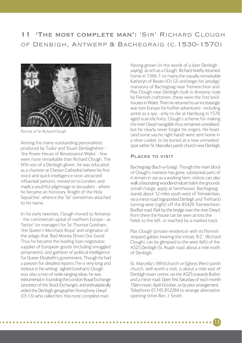### 11 'The most complete man': 'Sir' Richard Clough of Denbigh, Antwerp & Bachegraig (c.1530-1570)



*Portrait of Sir Richard Clough.*

Among the many outstanding personalities produced by Tudor and Stuart Denbighshire - 'the Power House of Renaissance Wales' - few were more remarkable than Richard Clough. The fifth son of a Denbigh glover, he was educated as a chorister at Chester Cathedral (where his fine voice and quick intelligence soon attracted influential patrons), moved on to London, and made a youthful pilgrimage to Jerusalem - where he became an honorary 'Knight of the Holy Sepulchre', whence the 'Sir' sometimes attached to his name.

In his early twenties, Clough moved to Antwerp - the commercial capital of northern Europe - as 'factor' (or manager) for Sir Thomas Gresham, 'the Queen's Merchant Royal' and originator of the adage that 'Bad Money Drives Out Good'. Thus he became the leading loan-negotiator, supplier of European goods (including smuggled armaments), and gatherer of political intelligence for Queen Elizabeth's government. Though he had a passion for detailed reports ('he is very long and tedious in his writing', sighed Gresham) Clough was also a man of wide-ranging ideas: he was instrumental in founding the London Royal Exchange (ancestor of the Stock Exchange), and enthusiastically aided the Denbigh geographer Humphrey Llwyd (Ch.13) who called him 'the most complete man'.

Having grown (in the words of a later Denbigh saying) 'as rich as a Clough', Richard briefly returned home in 1566-7, to marry the equally remarkable Katheryn of Berain (Ch.12) and begin his 'prodigy' mansions of Bachegraig near Tremeirchion and Plas Clough near Denbigh: built in Antwerp style by Flemish craftsmen, these were the first brick houses in Wales. Then he returned to an increasingly war-torn Europe for further adventures - including arrest as a spy - only to die at Hamburg in 1570, aged scarcely forty. Clough's scheme for making the river Clwyd navigable thus remained unrealised, but he clearly never forgot his origins. His heart (and some say his right hand) were sent home in a silver casket, to be buried at a now unmarked spot within St. Marcella's parish church near Denbigh.

#### Places to visit

Bachegraig (Bach-y-Graig). Though the main block of Clough's mansion has gone, substantial parts of it remain in use as a working farm: visitors can also walk a fascinating woodland nature trail in the grounds (small charge, apply at farmhouse). Bachegraig stands about 12 miles south-west of Tremeirchion, via a minor road (signposted Denbigh and Trefnant) turning west (right) off the B5429 Tremeirchion-Bodfari road. Park by the bridge over the river Clwyd: from there the house can be seen across the fields to the left, or reached by a marked track.

Plas Clough (private residence) with its Flemish stepped gables bearing the initials 'R.C.' (Richard Clough), can be glimpsed to the west (left) of the A525 Denbigh-St. Asaph road, about a mile north of Denbigh.

St. Marcella's (Whitchurch or Eglwys Wen) parish church, well worth a visit, is about a mile east of Denbigh town centre, via the A525 towards Ruthin and a minor road. Open first Saturday of each month 10am-noon, April-October, or by prior arrangement. Telephone 01745 812284 to arrange alternative opening times Rev. J. Smith.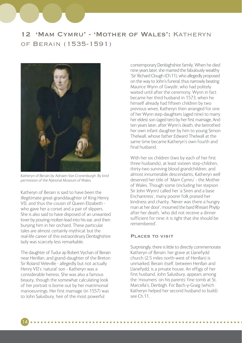### 12 'Mam Cymru' - 'Mother of Wales': Katheryn of Berain (1535-1591)



*Katheryn of Berain by Adriaen Van Cronenburgh. By kind permission of the National Museum of Wales.*

Katheryn of Berain is said to have been the illegitimate great-granddaughter of King Henry VII, and thus the cousin of Queen Elizabeth who gave her a corset and a pair of slippers. She is also said to have disposed of an unwanted lover by pouring molten lead into his ear, and then burying him in her orchard. These particular tales are almost certainly mythical: but the real-life career of this extraordinary Denbighshire lady was scarcely less remarkable.

The daughter of Tudur ap Robert Vychan of Berain near Henllan, and grand-daughter of the Breton Sir Roland Veleville - allegedly but not actually Henry VII's 'natural' son - Katheryn was a considerable heiress. She was also a famous beauty, though the somewhat calculating look of her portrait is borne out by her matrimonial manoeuvrings. Her first marriage (in 1557) was to John Salusbury, heir of the most powerful

14

contemporary Denbighshire family. When he died nine years later, she married the fabulously wealthy 'Sir' Richard Clough (Ch.11), who allegedly proposed on the way to John's funeral, thus narrowly beating Maurice Wynn of Gwydir, who had politely waited until after the ceremony. Wynn in fact became her third husband in 1573, when he himself already had fifteen children by two previous wives. Katheryn then arranged for one of her Wynn step-daughters (aged nine) to marry her eldest son (aged ten) by her first marriage. And ten years later, after Wynn's death, she betrothed her own infant daughter by him to young Simon Thelwall, whose father Edward Thelwall at the same time became Katheryn's own fourth and final husband.

With her six children (two by each of her first three husbands), at least sixteen step-children, thirty-two surviving blood grandchildren, and almost innumerable descendants, Katheryn well deserved her title of 'Mam Cymru' - the Mother of Wales. Though some (including her stepson Sir John Wynn) called her 'a Siren and a base Enchantress', many poorer folk praised her kindness and charity. 'Never was there a hungry man at her door', mourned the bard Rhisiart Phylip after her death, 'who did not receive a dinner sufficient for nine: it is right that she should be remembered'.

#### Places to visit

Surprisingly, there is little to directly commemorate Katheryn of Berain: her grave at Llanefydd church (2.5 miles north-west of Henllan) is unmarked. Berain itself, between Henllan and Llanefydd, is a private house. An effigy of her first husband, John Salusbury, appears among the 'mourners' on his parents' fine tomb at St. Marcella's, Denbigh. For Bach-y-Graig (which Katheryn helped her second husband to build) see Ch.11.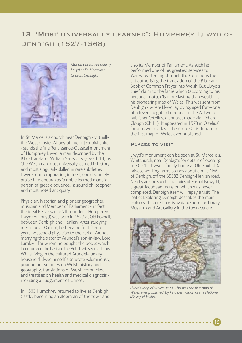### 13 'Most universally learned': Humphrey Llwyd of Denbigh (1527-1568)



*Monument for Humphrey Llwyd at St. Marcella's Church, Denbigh.*

In St. Marcella's church near Denbigh - virtually the Westminster Abbey of Tudor Denbighshire - stands the fine Renaissance-Classical monument of Humphrey Llwyd: a man described by the Bible translator William Salesbury (see Ch.14) as 'the Welshman most universally learned in history, and most singularly skilled in rare subtleties'. Llwyd's contemporaries, indeed, could scarcely praise him enough as 'a noble learned man', 'a person of great eloquence', 'a sound philosopher and most noted antiquary'.

Physician, historian and pioneer geographer, musician and Member of Parliament - in fact the ideal Renaissance 'all-rounder' - Humphrey Llwyd (or Lhuyd) was born in 1527 at Old Foxhall, between Denbigh and Henllan. After studying medicine at Oxford, he became for fifteen years household physician to the Earl of Arundel, marrying the sister of Arundel's son-in-law, Lord Lumley - for whom he bought the books which later formed the basis of the British Museum Library. While living in the cultured Arundel-Lumley household, Llwyd himself also wrote voluminously, pouring out volumes on Welsh history and geography, translations of Welsh chronicles, and treatises on health and medical diagnosis including a 'Judgement of Urines'.

In 1563 Humphrey returned to live at Denbigh Castle, becoming an alderman of the town and also its Member of Parliament. As such he performed one of his greatest services to Wales, by steering through the Commons the act authorising the translation of the Bible and Book of Common Prayer into Welsh. But Llwyd's chief claim to the fame which (according to his personal motto) 'is more lasting than wealth', is his pioneering map of Wales. This was sent from Denbigh - where Llwyd lay dying, aged forty-one, of a fever caught in London - to the Antwerp publisher Ortelius, a contact made via Richard Clough (Ch.11). It appeared in 1573 in Ortelius' famous world atlas - Theatrum Orbis Terrarum the first map of Wales ever published.

#### Places to visit

Llwyd's monument can be seen at St. Marcella's, Whitchurch, near Denbigh: for details of opening see Ch.11. Llwyd's family home at Old Foxhall (a private working farm) stands about a mile NW of Denbigh, off the B5382 Denbigh-Henllan road. Nearby are the spectacular ruins of Foxhall Newydd, a great Jacobean mansion which was never completed. Denbigh itself will repay a visit. The leaflet Exploring Denbigh describes the main features of interest and is available from the Library, Museum and Art Gallery in the town centre.



*Llwyd's Map of Wales, 1573. This was the first map of Wales ever published. By kind permission of the National Library of Wales.*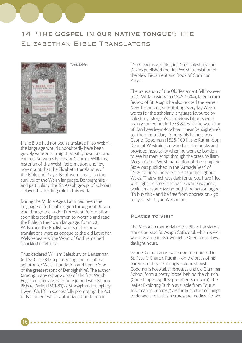### 14 'The Gospel in our native tongue': The Elizabethan Bible Translators



If the Bible had not been translated [into Welsh], the language would undoubtedly have been gravely weakened, might possibly have become extinct'. So writes Professor Glanmor Williams historian of the Welsh Reformation, and few now doubt that the Elizabeth translations of the Bible and Prayer Book were crucial to the survival of the Welsh language. Denbighshire and particularly the 'St. Asaph group' of scholars - played the leading role in this work.

*1588 Bible.*

During the Middle Ages, Latin had been the language of 'official' religion throughout Britain. And though the Tudor Protestant Reformation soon liberated Englishmen to worship and read the Bible in their own language, for most Welshmen the English words of the new translations were as opaque as the old Latin: for Welsh-speakers 'the Word of God' remained 'shackled in fetters'.

Thus declared William Salesbury of Llansannan (c.1520-c.1584), a pioneering and relentless agitator for Welsh translation and hence 'one of the greatest sons of Denbighshire'. The author (among many other works) of the first Welsh-English dictionary, Salesbury joined with Bishop Richard Davies (1501-81) of St. Asaph and Humphrey Llwyd (Ch.13) in successfully promoting the Act of Parliament which authorized translation in

1563. Four years later, in 1567, Salesbury and Davies published the first Welsh translation of the New Testament and Book of Common Prayer.

The translation of the Old Testament fell however to Dr William Morgan (1545-1604), later in turn Bishop of St. Asaph: he also revised the earlier New Testament, substituting everyday Welsh words for the scholarly language favoured by Salesbury. Morgan's prodigious labours were mainly carried out in 1578-87, while he was vicar of Llanrhaeadr-ym-Mochnant, near Denbighshire's southern boundary. Among his helpers was Gabriel Goodman (1528-1601), the Ruthin-born Dean of Westminster, who lent him books and provided hospitality when he went to London to see his manuscript through the press. William Morgan's first Welsh translation of the complete Bible was published in the 'Armada Year' of 1588, to unbounded enthusiasm throughout Wales. 'That which was dark for us, you have filled with light', rejoiced the bard Owain Gwynedd, while an ecstatic Monmouthshire parson urged: 'To buy this - and be free from oppression - go sell your shirt, you Welshman'.

#### Places to visit

The Victorian memorial to the Bible Translators stands outside St. Asaph Cathedral, which is well worth visiting in its own right. Open most days, daylight hours.

Gabriel Goodman is twice commemorated in St. Peter's Church, Ruthin - on the brass of his parents and by a strikingly coloured bust. Goodman's hospital, almshouses and old Grammar School form a pretty 'close' behind the church. (Church open April-September 9am-5pm) The leaflet Exploring Ruthin available from Tourist Information Centres gives further details of things to do and see in this picturesque medieval town.

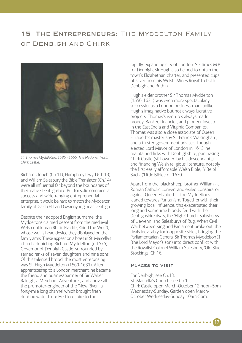### 15 THE ENTREPRENEURS: THE MYDDELTON FAMILY of Denbigh and Chirk



*Sir Thomas Myddleton, 1586 - 1666, The National Trust, Chirk Castle.*

Richard Clough (Ch.11), Humphrey Llwyd (Ch.13) and William Salesbury the Bible Translator (Ch.14) were all influential far beyond the boundaries of their native Denbighshire. But for solid commercial success and wide-ranging entrepreneurial enterprise, it would be hard to match the Myddelton family of Galch Hill and Gwaenynog near Denbigh.

Despite their adopted English surname, the Myddeltons claimed descent from the medieval Welsh nobleman Rhirid Flaidd ('Rhirid the Wolf'), whose wolf's head device they displayed on their family arms. These appear on a brass in St. Marcella's church, depicting Richard Myddelton (d.1575), Governor of Denbigh Castle, surrounded by serried ranks of seven daughters and nine sons. Of this talented brood, the most enterprising was Sir Hugh Myddelton (1560-1631). After apprenticeship to a London merchant, he became the friend and businesspartner of Sir Walter Raleigh, a Merchant Adventurer, and above all the promoter-engineer of the 'New River', a forty-mile long channel which brought fresh drinking water from Hertfordshire to the

rapidly-expanding city of London. Six times M.P. for Denbigh, Sir Hugh also helped to obtain the town's Elizabethan charter, and presented cups of silver from his Welsh 'Mines Royal' to both Denbigh and Ruthin.

Hugh's elder brother Sir Thomas Myddelton (1550-1631) was even more spectacularly successful as a London business-man: unlike Hugh's imaginative but not always lucrative projects, Thomas's ventures always made money. Banker, financier, and pioneer investor in the East India and Virginia Companies, Thomas was also a close associate of Queen Elizabeth's master-spy Sir Francis Walsingham, and a trusted government adviser. Though elected Lord Mayor of London in 1613, he maintained links with Denbighshire, purchasing Chirk Castle (still owned by his descendants) and financing Welsh religious literature, notably the first easily affordable Welsh Bible, 'Y Beibl Bach' ('Little Bible') of 1630.

Apart from the 'black sheep' brother William - a Roman Catholic convert and exiled conspirator against Queen Elizabeth – the Myddeltons leaned towards Puritanism. Together with their growing local influence, this exacerbated their long and sometime bloody feud with their Denbighshire rivals, the 'High Church' Salusburys of Llewenni and Salesburys of Rug. When Civil War between King and Parliament broke out, the rivals inevitably took opposite sides, bringing the Parliamentarian General Sir Thomas Myddelton II (the Lord Mayor's son) into direct conflict with the Royalist Colonel William Salesbury, 'Old Blue Stockings' Ch.16.

#### Places to visit

For Denbigh, see Ch.13. St. Marcella's Church, see Ch.11. Chirk Castle open March-October 12 noon-5pm Wednesday-Sunday, Garden open March-October Wednesday-Sunday 10am-5pm.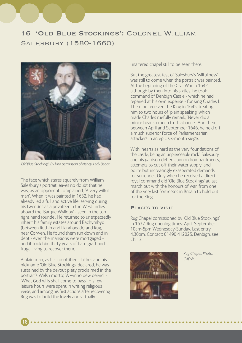## 16 'Old Blue Stockings': Colonel William Salesbury (1580-1660)



*'Old Blue Stockings'. By kind permission of Nancy, Lady Bagot.*

The face which stares squarely from William Salesbury's portrait leaves no doubt that he was, as an opponent complained, 'A very wilfull man'. When it was painted in 1632, he had already led a full and active life, serving during his twenties as a privateer in the West Indies aboard the 'Barque Wylloby' - seen in the top right hand roundel. He returned to unexpectedly inherit his family estates around Bachymbyd (between Ruthin and Llanrhaeadr) and Rug, near Corwen. He found them run down and in debt - even the mansions were mortgaged and it took him thirty years of hard graft and frugal living to recover them.

A plain man, as his countrified clothes and his nickname 'Old Blue Stockings' declared, he was sustained by the devout piety proclaimed in the portrait's Welsh motto; 'A vynno dew dervid' - 'What God wills shall come to pass'. His few leisure hours were spent in writing religious verse, and among his first actions after recovering Rug was to build the lovely and virtually

18

unaltered chapel still to be seen there.

But the greatest test of Salesbury's 'wilfullness' was still to come when the portrait was painted. At the beginning of the Civil War in 1642, although by then into his sixties, he took command of Denbigh Castle - which he had repaired at his own expense - for King Charles I. There he received the King in 1645, treating him to two hours of 'plain speaking' which made Charles ruefully remark, 'Never did a prince hear so much truth at once'. And there, between April and September 1646, he held off a much superior force of Parliamentarian attackers in an epic six-month siege.

With 'hearts as hard as the very foundations of the castle, being an unpierceable rock', Salesbury and his garrison defied cannon bombardments, attempts to cut off their water supply, and polite but increasingly exasperated demands for surrender. Only when he received a direct royal command did 'Old Blue Stockings' at last march out with the honours of war, from one of the very last fortresses in Britain to hold out for the King.

#### Places to visit

Rug Chapel comissioned by 'Old Blue Stockings' in 1637. Rug opening times: April-September 10am-5pm Wednesday-Sunday. Last entry 4.30pm. Contact: 01490 412025. Denbigh, see  $Ch13$ 



*Rug Chapel. Photo: CADW.*